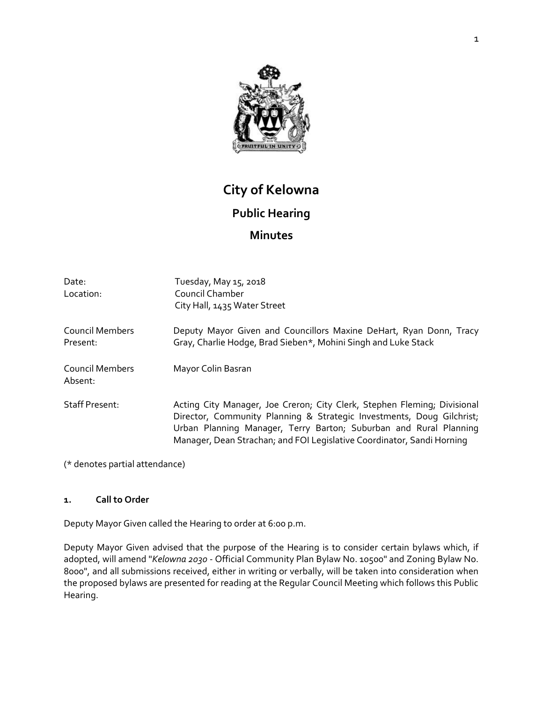

# **City of Kelowna Public Hearing Minutes**

| Date:<br>Location:                 | Tuesday, May 15, 2018<br>Council Chamber<br>City Hall, 1435 Water Street                                                                                                                                                                                                                         |
|------------------------------------|--------------------------------------------------------------------------------------------------------------------------------------------------------------------------------------------------------------------------------------------------------------------------------------------------|
| <b>Council Members</b><br>Present: | Deputy Mayor Given and Councillors Maxine DeHart, Ryan Donn, Tracy<br>Gray, Charlie Hodge, Brad Sieben*, Mohini Singh and Luke Stack                                                                                                                                                             |
| <b>Council Members</b><br>Absent:  | Mayor Colin Basran                                                                                                                                                                                                                                                                               |
| <b>Staff Present:</b>              | Acting City Manager, Joe Creron; City Clerk, Stephen Fleming; Divisional<br>Director, Community Planning & Strategic Investments, Doug Gilchrist;<br>Urban Planning Manager, Terry Barton; Suburban and Rural Planning<br>Manager, Dean Strachan; and FOI Legislative Coordinator, Sandi Horning |

(\* denotes partial attendance)

#### **1. Call to Order**

Deputy Mayor Given called the Hearing to order at 6:00 p.m.

Deputy Mayor Given advised that the purpose of the Hearing is to consider certain bylaws which, if adopted, will amend "*Kelowna 2030* - Official Community Plan Bylaw No. 10500" and Zoning Bylaw No. 8000", and all submissions received, either in writing or verbally, will be taken into consideration when the proposed bylaws are presented for reading at the Regular Council Meeting which follows this Public Hearing.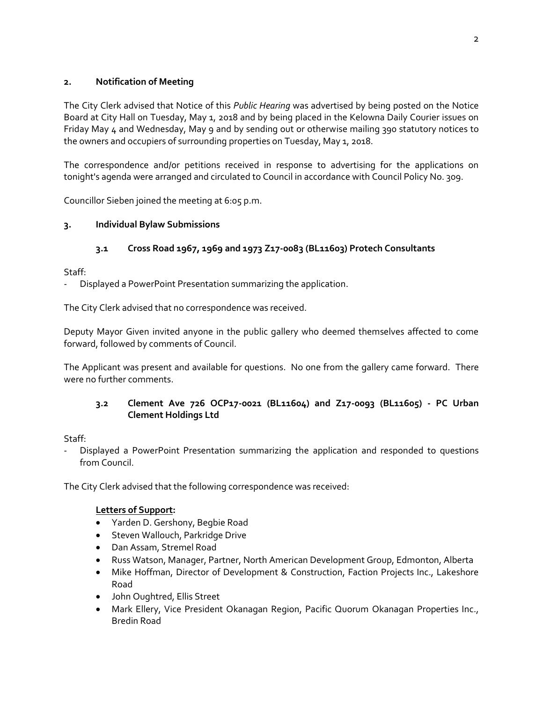# **2. Notification of Meeting**

The City Clerk advised that Notice of this *Public Hearing* was advertised by being posted on the Notice Board at City Hall on Tuesday, May 1, 2018 and by being placed in the Kelowna Daily Courier issues on Friday May 4 and Wednesday, May 9 and by sending out or otherwise mailing 390 statutory notices to the owners and occupiers of surrounding properties on Tuesday, May 1, 2018.

The correspondence and/or petitions received in response to advertising for the applications on tonight's agenda were arranged and circulated to Council in accordance with Council Policy No. 309.

Councillor Sieben joined the meeting at 6:05 p.m.

# **3. Individual Bylaw Submissions**

# **3.1 Cross Road 1967, 1969 and 1973 Z17-0083 (BL11603) Protech Consultants**

Staff:

Displayed a PowerPoint Presentation summarizing the application.

The City Clerk advised that no correspondence was received.

Deputy Mayor Given invited anyone in the public gallery who deemed themselves affected to come forward, followed by comments of Council.

The Applicant was present and available for questions. No one from the gallery came forward. There were no further comments.

# **3.2 Clement Ave 726 OCP17-0021 (BL11604) and Z17-0093 (BL11605) - PC Urban Clement Holdings Ltd**

Staff:

- Displayed a PowerPoint Presentation summarizing the application and responded to questions from Council.

The City Clerk advised that the following correspondence was received:

#### **Letters of Support:**

- Yarden D. Gershony, Begbie Road
- Steven Wallouch, Parkridge Drive
- Dan Assam, Stremel Road
- Russ Watson, Manager, Partner, North American Development Group, Edmonton, Alberta
- Mike Hoffman, Director of Development & Construction, Faction Projects Inc., Lakeshore Road
- John Oughtred, Ellis Street
- Mark Ellery, Vice President Okanagan Region, Pacific Quorum Okanagan Properties Inc., Bredin Road